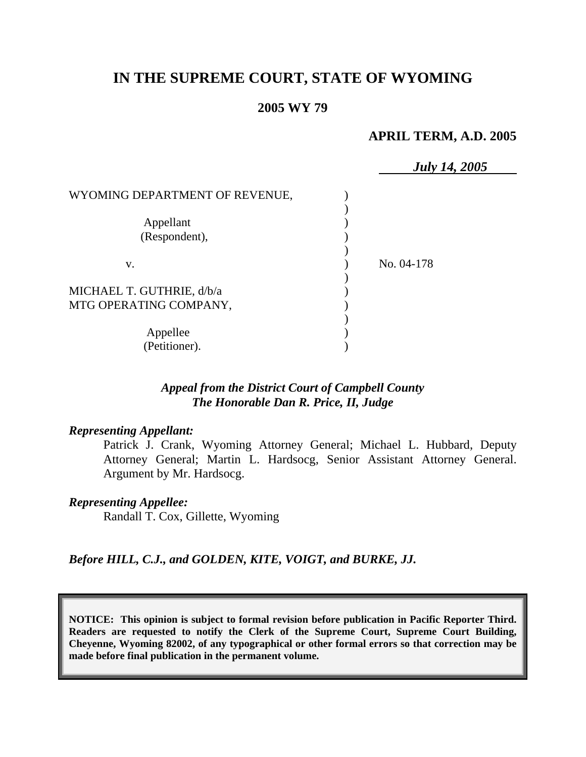# **IN THE SUPREME COURT, STATE OF WYOMING**

#### **2005 WY 79**

#### **APRIL TERM, A.D. 2005**

|                                | <b>July 14, 2005</b> |
|--------------------------------|----------------------|
| WYOMING DEPARTMENT OF REVENUE, |                      |
|                                |                      |
| Appellant                      |                      |
| (Respondent),                  |                      |
|                                |                      |
| V.                             | No. 04-178           |
|                                |                      |
| MICHAEL T. GUTHRIE, d/b/a      |                      |
| MTG OPERATING COMPANY,         |                      |
|                                |                      |
| Appellee                       |                      |
| (Petitioner).                  |                      |

## *Appeal from the District Court of Campbell County The Honorable Dan R. Price, II, Judge*

#### *Representing Appellant:*

Patrick J. Crank, Wyoming Attorney General; Michael L. Hubbard, Deputy Attorney General; Martin L. Hardsocg, Senior Assistant Attorney General. Argument by Mr. Hardsocg.

#### *Representing Appellee:*

Randall T. Cox, Gillette, Wyoming

*Before HILL, C.J., and GOLDEN, KITE, VOIGT, and BURKE, JJ.* 

**NOTICE: This opinion is subject to formal revision before publication in Pacific Reporter Third. Readers are requested to notify the Clerk of the Supreme Court, Supreme Court Building, Cheyenne, Wyoming 82002, of any typographical or other formal errors so that correction may be made before final publication in the permanent volume.**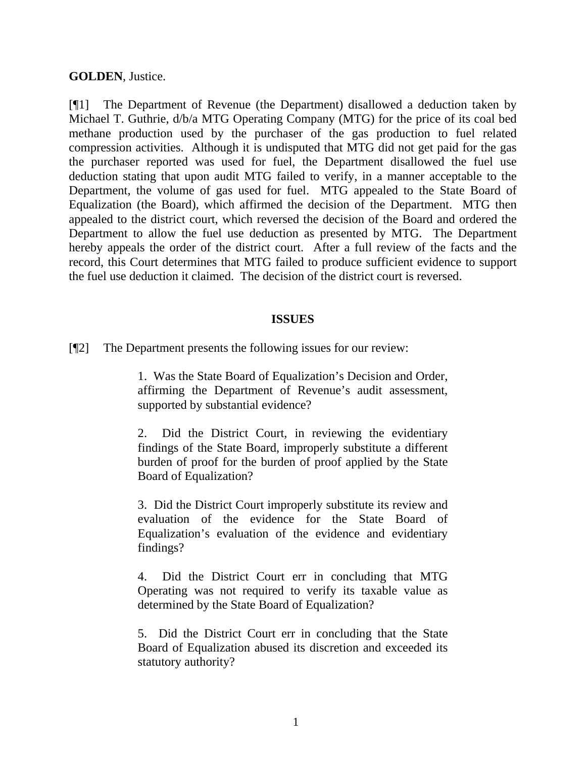**GOLDEN**, Justice.

[¶1] The Department of Revenue (the Department) disallowed a deduction taken by Michael T. Guthrie, d/b/a MTG Operating Company (MTG) for the price of its coal bed methane production used by the purchaser of the gas production to fuel related compression activities. Although it is undisputed that MTG did not get paid for the gas the purchaser reported was used for fuel, the Department disallowed the fuel use deduction stating that upon audit MTG failed to verify, in a manner acceptable to the Department, the volume of gas used for fuel. MTG appealed to the State Board of Equalization (the Board), which affirmed the decision of the Department. MTG then appealed to the district court, which reversed the decision of the Board and ordered the Department to allow the fuel use deduction as presented by MTG. The Department hereby appeals the order of the district court. After a full review of the facts and the record, this Court determines that MTG failed to produce sufficient evidence to support the fuel use deduction it claimed. The decision of the district court is reversed.

## **ISSUES**

[¶2] The Department presents the following issues for our review:

1. Was the State Board of Equalization's Decision and Order, affirming the Department of Revenue's audit assessment, supported by substantial evidence?

2. Did the District Court, in reviewing the evidentiary findings of the State Board, improperly substitute a different burden of proof for the burden of proof applied by the State Board of Equalization?

3. Did the District Court improperly substitute its review and evaluation of the evidence for the State Board of Equalization's evaluation of the evidence and evidentiary findings?

4. Did the District Court err in concluding that MTG Operating was not required to verify its taxable value as determined by the State Board of Equalization?

5. Did the District Court err in concluding that the State Board of Equalization abused its discretion and exceeded its statutory authority?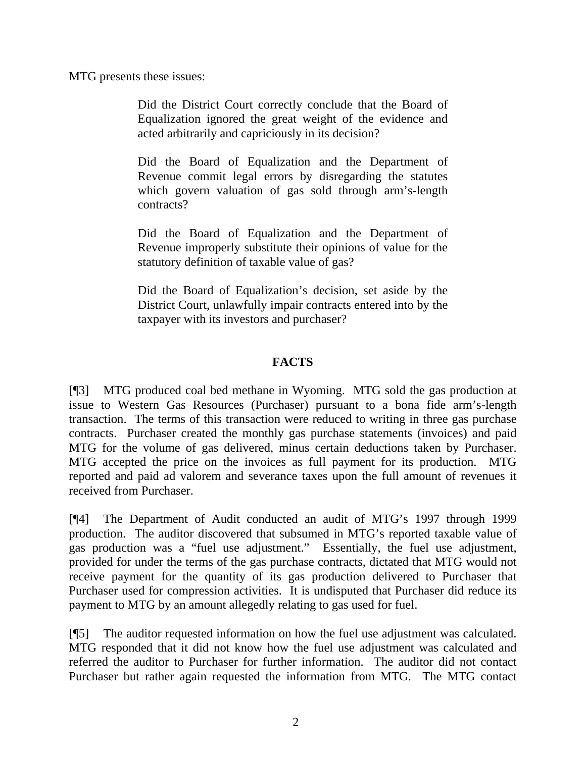MTG presents these issues:

Did the District Court correctly conclude that the Board of Equalization ignored the great weight of the evidence and acted arbitrarily and capriciously in its decision?

Did the Board of Equalization and the Department of Revenue commit legal errors by disregarding the statutes which govern valuation of gas sold through arm's-length contracts?

Did the Board of Equalization and the Department of Revenue improperly substitute their opinions of value for the statutory definition of taxable value of gas?

Did the Board of Equalization's decision, set aside by the District Court, unlawfully impair contracts entered into by the taxpayer with its investors and purchaser?

# **FACTS**

[¶3] MTG produced coal bed methane in Wyoming. MTG sold the gas production at issue to Western Gas Resources (Purchaser) pursuant to a bona fide arm's-length transaction. The terms of this transaction were reduced to writing in three gas purchase contracts. Purchaser created the monthly gas purchase statements (invoices) and paid MTG for the volume of gas delivered, minus certain deductions taken by Purchaser. MTG accepted the price on the invoices as full payment for its production. MTG reported and paid ad valorem and severance taxes upon the full amount of revenues it received from Purchaser.

[¶4] The Department of Audit conducted an audit of MTG's 1997 through 1999 production. The auditor discovered that subsumed in MTG's reported taxable value of gas production was a "fuel use adjustment." Essentially, the fuel use adjustment, provided for under the terms of the gas purchase contracts, dictated that MTG would not receive payment for the quantity of its gas production delivered to Purchaser that Purchaser used for compression activities. It is undisputed that Purchaser did reduce its payment to MTG by an amount allegedly relating to gas used for fuel.

[¶5] The auditor requested information on how the fuel use adjustment was calculated. MTG responded that it did not know how the fuel use adjustment was calculated and referred the auditor to Purchaser for further information. The auditor did not contact Purchaser but rather again requested the information from MTG. The MTG contact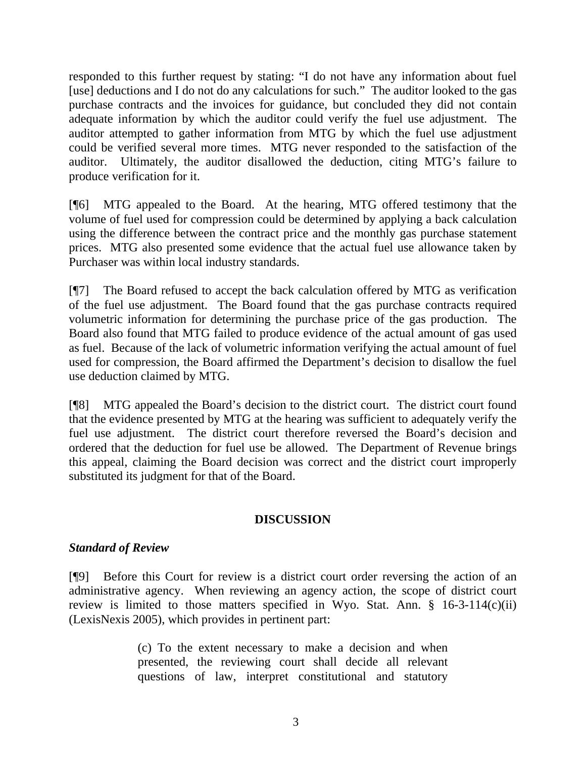responded to this further request by stating: "I do not have any information about fuel [use] deductions and I do not do any calculations for such." The auditor looked to the gas purchase contracts and the invoices for guidance, but concluded they did not contain adequate information by which the auditor could verify the fuel use adjustment. The auditor attempted to gather information from MTG by which the fuel use adjustment could be verified several more times. MTG never responded to the satisfaction of the auditor. Ultimately, the auditor disallowed the deduction, citing MTG's failure to produce verification for it.

[¶6] MTG appealed to the Board. At the hearing, MTG offered testimony that the volume of fuel used for compression could be determined by applying a back calculation using the difference between the contract price and the monthly gas purchase statement prices. MTG also presented some evidence that the actual fuel use allowance taken by Purchaser was within local industry standards.

[¶7] The Board refused to accept the back calculation offered by MTG as verification of the fuel use adjustment. The Board found that the gas purchase contracts required volumetric information for determining the purchase price of the gas production. The Board also found that MTG failed to produce evidence of the actual amount of gas used as fuel. Because of the lack of volumetric information verifying the actual amount of fuel used for compression, the Board affirmed the Department's decision to disallow the fuel use deduction claimed by MTG.

[¶8] MTG appealed the Board's decision to the district court. The district court found that the evidence presented by MTG at the hearing was sufficient to adequately verify the fuel use adjustment. The district court therefore reversed the Board's decision and ordered that the deduction for fuel use be allowed. The Department of Revenue brings this appeal, claiming the Board decision was correct and the district court improperly substituted its judgment for that of the Board.

# **DISCUSSION**

## *Standard of Review*

[¶9] Before this Court for review is a district court order reversing the action of an administrative agency. When reviewing an agency action, the scope of district court review is limited to those matters specified in Wyo. Stat. Ann.  $\S$  16-3-114(c)(ii) (LexisNexis 2005), which provides in pertinent part:

> (c) To the extent necessary to make a decision and when presented, the reviewing court shall decide all relevant questions of law, interpret constitutional and statutory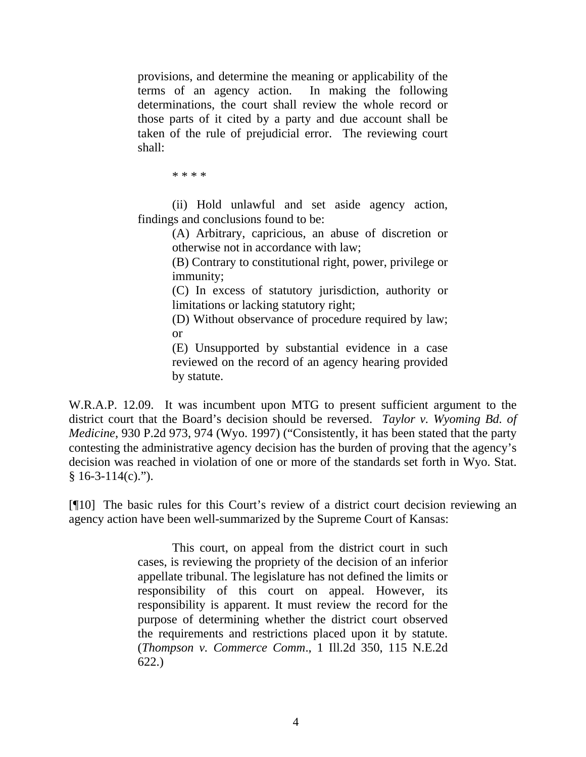provisions, and determine the meaning or applicability of the terms of an agency action. In making the following determinations, the court shall review the whole record or those parts of it cited by a party and due account shall be taken of the rule of prejudicial error. The reviewing court shall:

\* \* \* \*

(ii) Hold unlawful and set aside agency action, findings and conclusions found to be:

> (A) Arbitrary, capricious, an abuse of discretion or otherwise not in accordance with law;

> (B) Contrary to constitutional right, power, privilege or immunity;

> (C) In excess of statutory jurisdiction, authority or limitations or lacking statutory right;

> (D) Without observance of procedure required by law; or

> (E) Unsupported by substantial evidence in a case reviewed on the record of an agency hearing provided by statute.

W.R.A.P. 12.09. It was incumbent upon MTG to present sufficient argument to the district court that the Board's decision should be reversed. *Taylor v. Wyoming Bd. of Medicine*, 930 P.2d 973, 974 (Wyo. 1997) ("Consistently, it has been stated that the party contesting the administrative agency decision has the burden of proving that the agency's decision was reached in violation of one or more of the standards set forth in Wyo. Stat.  $$16-3-114(c)$ .").

[¶10] The basic rules for this Court's review of a district court decision reviewing an agency action have been well-summarized by the Supreme Court of Kansas:

> This court, on appeal from the district court in such cases, is reviewing the propriety of the decision of an inferior appellate tribunal. The legislature has not defined the limits or responsibility of this court on appeal. However, its responsibility is apparent. It must review the record for the purpose of determining whether the district court observed the requirements and restrictions placed upon it by statute. (*Thompson v. Commerce Comm*., 1 Ill.2d 350, 115 N.E.2d 622.)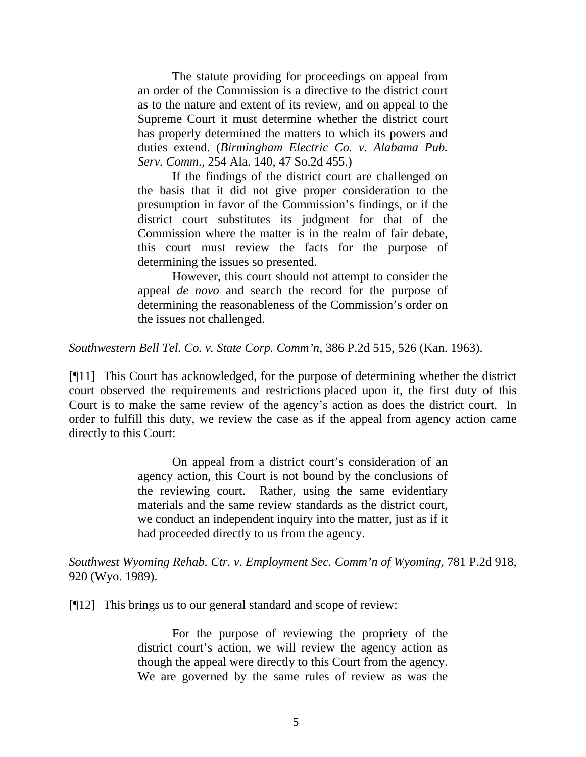The statute providing for proceedings on appeal from an order of the Commission is a directive to the district court as to the nature and extent of its review, and on appeal to the Supreme Court it must determine whether the district court has properly determined the matters to which its powers and duties extend. (*Birmingham Electric Co. v. Alabama Pub. Serv. Comm*., 254 Ala. 140, 47 So.2d 455.)

If the findings of the district court are challenged on the basis that it did not give proper consideration to the presumption in favor of the Commission's findings, or if the district court substitutes its judgment for that of the Commission where the matter is in the realm of fair debate, this court must review the facts for the purpose of determining the issues so presented.

However, this court should not attempt to consider the appeal *de novo* and search the record for the purpose of determining the reasonableness of the Commission's order on the issues not challenged.

*Southwestern Bell Tel. Co. v. State Corp. Comm'n*, 386 P.2d 515, 526 (Kan. 1963).

[¶11] This Court has acknowledged, for the purpose of determining whether the district court observed the requirements and restrictions placed upon it, the first duty of this Court is to make the same review of the agency's action as does the district court. In order to fulfill this duty, we review the case as if the appeal from agency action came directly to this Court:

> On appeal from a district court's consideration of an agency action, this Court is not bound by the conclusions of the reviewing court. Rather, using the same evidentiary materials and the same review standards as the district court, we conduct an independent inquiry into the matter, just as if it had proceeded directly to us from the agency.

*Southwest Wyoming Rehab. Ctr. v. Employment Sec. Comm'n of Wyoming*, 781 P.2d 918, 920 (Wyo. 1989).

[¶12] This brings us to our general standard and scope of review:

For the purpose of reviewing the propriety of the district court's action, we will review the agency action as though the appeal were directly to this Court from the agency. We are governed by the same rules of review as was the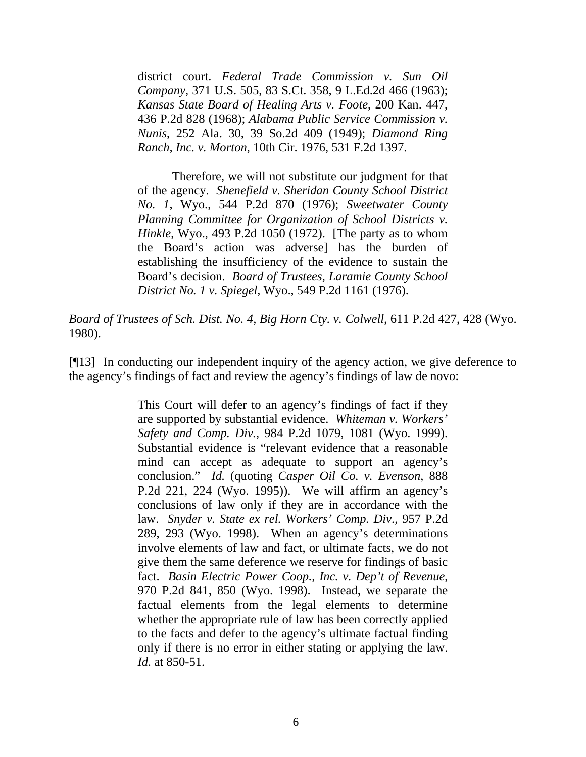district court. *Federal Trade Commission v. Sun Oil Company*, 371 U.S. 505, 83 S.Ct. 358, 9 L.Ed.2d 466 (1963); *Kansas State Board of Healing Arts v. Foote*, 200 Kan. 447, 436 P.2d 828 (1968); *Alabama Public Service Commission v. Nunis*, 252 Ala. 30, 39 So.2d 409 (1949); *Diamond Ring Ranch, Inc. v. Morton*, 10th Cir. 1976, 531 F.2d 1397.

Therefore, we will not substitute our judgment for that of the agency. *Shenefield v. Sheridan County School District No. 1*, Wyo., 544 P.2d 870 (1976); *Sweetwater County Planning Committee for Organization of School Districts v. Hinkle*, Wyo., 493 P.2d 1050 (1972). [The party as to whom the Board's action was adverse] has the burden of establishing the insufficiency of the evidence to sustain the Board's decision. *Board of Trustees, Laramie County School District No. 1 v. Spiegel*, Wyo., 549 P.2d 1161 (1976).

*Board of Trustees of Sch. Dist. No. 4, Big Horn Cty. v. Colwell,* 611 P.2d 427, 428 (Wyo. 1980).

[¶13] In conducting our independent inquiry of the agency action, we give deference to the agency's findings of fact and review the agency's findings of law de novo:

> This Court will defer to an agency's findings of fact if they are supported by substantial evidence. *Whiteman v. Workers' Safety and Comp. Div.*, 984 P.2d 1079, 1081 (Wyo. 1999). Substantial evidence is "relevant evidence that a reasonable mind can accept as adequate to support an agency's conclusion." *Id.* (quoting *Casper Oil Co. v. Evenson*, 888 P.2d 221, 224 (Wyo. 1995)). We will affirm an agency's conclusions of law only if they are in accordance with the law. *Snyder v. State ex rel. Workers' Comp. Div*., 957 P.2d 289, 293 (Wyo. 1998). When an agency's determinations involve elements of law and fact, or ultimate facts, we do not give them the same deference we reserve for findings of basic fact. *Basin Electric Power Coop., Inc. v. Dep't of Revenue*, 970 P.2d 841, 850 (Wyo. 1998). Instead, we separate the factual elements from the legal elements to determine whether the appropriate rule of law has been correctly applied to the facts and defer to the agency's ultimate factual finding only if there is no error in either stating or applying the law. *Id.* at 850-51.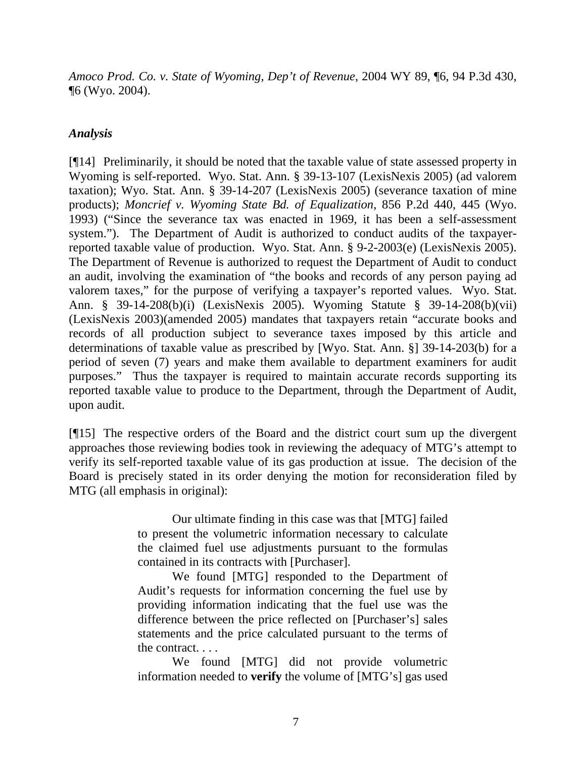*Amoco Prod. Co. v. State of Wyoming, Dep't of Revenue*, 2004 WY 89, ¶6, 94 P.3d 430, ¶6 (Wyo. 2004).

## *Analysis*

[¶14] Preliminarily, it should be noted that the taxable value of state assessed property in Wyoming is self-reported. Wyo. Stat. Ann. § 39-13-107 (LexisNexis 2005) (ad valorem taxation); Wyo. Stat. Ann. § 39-14-207 (LexisNexis 2005) (severance taxation of mine products); *Moncrief v. Wyoming State Bd. of Equalization*, 856 P.2d 440, 445 (Wyo. 1993) ("Since the severance tax was enacted in 1969, it has been a self-assessment system."). The Department of Audit is authorized to conduct audits of the taxpayerreported taxable value of production. Wyo. Stat. Ann. § 9-2-2003(e) (LexisNexis 2005). The Department of Revenue is authorized to request the Department of Audit to conduct an audit, involving the examination of "the books and records of any person paying ad valorem taxes," for the purpose of verifying a taxpayer's reported values. Wyo. Stat. Ann. § 39-14-208(b)(i) (LexisNexis 2005). Wyoming Statute § 39-14-208(b)(vii) (LexisNexis 2003)(amended 2005) mandates that taxpayers retain "accurate books and records of all production subject to severance taxes imposed by this article and determinations of taxable value as prescribed by [Wyo. Stat. Ann. §] 39-14-203(b) for a period of seven (7) years and make them available to department examiners for audit purposes." Thus the taxpayer is required to maintain accurate records supporting its reported taxable value to produce to the Department, through the Department of Audit, upon audit.

[¶15] The respective orders of the Board and the district court sum up the divergent approaches those reviewing bodies took in reviewing the adequacy of MTG's attempt to verify its self-reported taxable value of its gas production at issue. The decision of the Board is precisely stated in its order denying the motion for reconsideration filed by MTG (all emphasis in original):

> Our ultimate finding in this case was that [MTG] failed to present the volumetric information necessary to calculate the claimed fuel use adjustments pursuant to the formulas contained in its contracts with [Purchaser].

> We found [MTG] responded to the Department of Audit's requests for information concerning the fuel use by providing information indicating that the fuel use was the difference between the price reflected on [Purchaser's] sales statements and the price calculated pursuant to the terms of the contract. . . .

> We found [MTG] did not provide volumetric information needed to **verify** the volume of [MTG's] gas used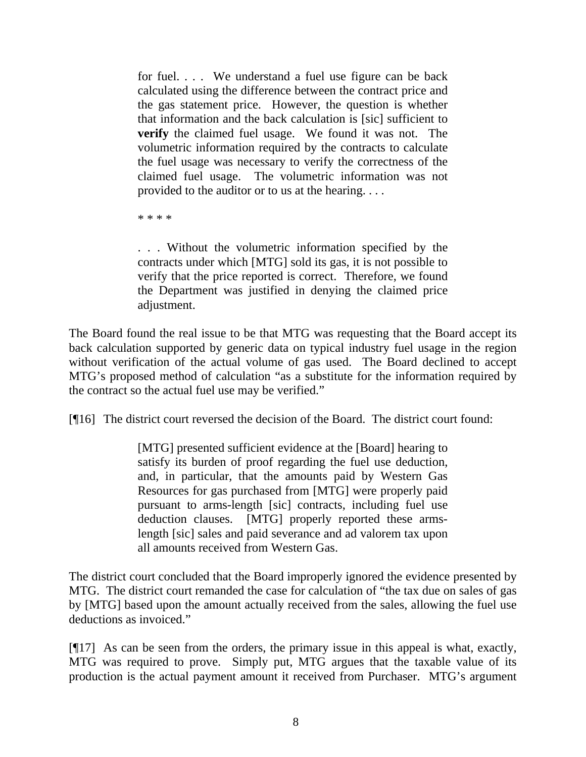for fuel. . . . We understand a fuel use figure can be back calculated using the difference between the contract price and the gas statement price. However, the question is whether that information and the back calculation is [sic] sufficient to **verify** the claimed fuel usage. We found it was not. The volumetric information required by the contracts to calculate the fuel usage was necessary to verify the correctness of the claimed fuel usage. The volumetric information was not provided to the auditor or to us at the hearing. . . .

\* \* \* \*

. . . Without the volumetric information specified by the contracts under which [MTG] sold its gas, it is not possible to verify that the price reported is correct. Therefore, we found the Department was justified in denying the claimed price adjustment.

The Board found the real issue to be that MTG was requesting that the Board accept its back calculation supported by generic data on typical industry fuel usage in the region without verification of the actual volume of gas used. The Board declined to accept MTG's proposed method of calculation "as a substitute for the information required by the contract so the actual fuel use may be verified."

[¶16] The district court reversed the decision of the Board. The district court found:

[MTG] presented sufficient evidence at the [Board] hearing to satisfy its burden of proof regarding the fuel use deduction, and, in particular, that the amounts paid by Western Gas Resources for gas purchased from [MTG] were properly paid pursuant to arms-length [sic] contracts, including fuel use deduction clauses. [MTG] properly reported these armslength [sic] sales and paid severance and ad valorem tax upon all amounts received from Western Gas.

The district court concluded that the Board improperly ignored the evidence presented by MTG. The district court remanded the case for calculation of "the tax due on sales of gas by [MTG] based upon the amount actually received from the sales, allowing the fuel use deductions as invoiced."

[¶17] As can be seen from the orders, the primary issue in this appeal is what, exactly, MTG was required to prove. Simply put, MTG argues that the taxable value of its production is the actual payment amount it received from Purchaser. MTG's argument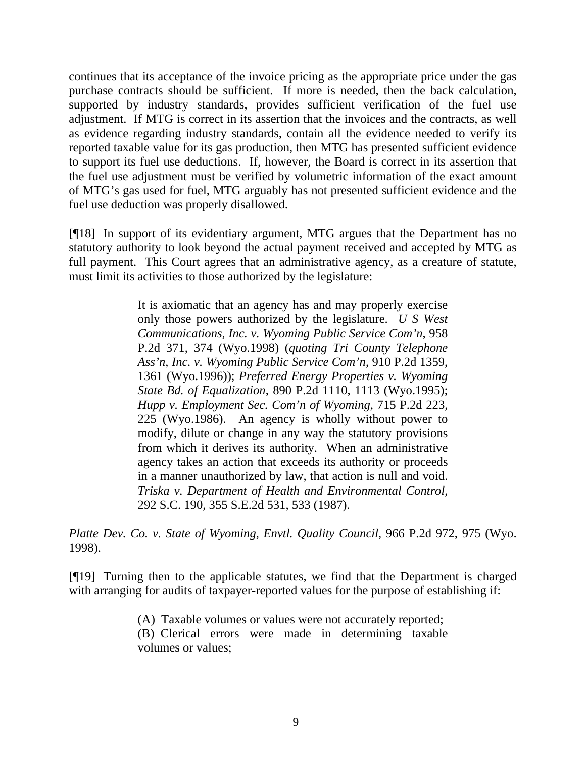continues that its acceptance of the invoice pricing as the appropriate price under the gas purchase contracts should be sufficient. If more is needed, then the back calculation, supported by industry standards, provides sufficient verification of the fuel use adjustment. If MTG is correct in its assertion that the invoices and the contracts, as well as evidence regarding industry standards, contain all the evidence needed to verify its reported taxable value for its gas production, then MTG has presented sufficient evidence to support its fuel use deductions. If, however, the Board is correct in its assertion that the fuel use adjustment must be verified by volumetric information of the exact amount of MTG's gas used for fuel, MTG arguably has not presented sufficient evidence and the fuel use deduction was properly disallowed.

[¶18] In support of its evidentiary argument, MTG argues that the Department has no statutory authority to look beyond the actual payment received and accepted by MTG as full payment. This Court agrees that an administrative agency, as a creature of statute, must limit its activities to those authorized by the legislature:

> It is axiomatic that an agency has and may properly exercise only those powers authorized by the legislature. *U S West Communications, Inc. v. Wyoming Public Service Com'n*, 958 P.2d 371, 374 (Wyo.1998) (*quoting Tri County Telephone Ass'n, Inc. v. Wyoming Public Service Com'n*, 910 P.2d 1359, 1361 (Wyo.1996)); *Preferred Energy Properties v. Wyoming State Bd. of Equalization*, 890 P.2d 1110, 1113 (Wyo.1995); *Hupp v. Employment Sec. Com'n of Wyoming*, 715 P.2d 223, 225 (Wyo.1986). An agency is wholly without power to modify, dilute or change in any way the statutory provisions from which it derives its authority. When an administrative agency takes an action that exceeds its authority or proceeds in a manner unauthorized by law, that action is null and void. *Triska v. Department of Health and Environmental Control*, 292 S.C. 190, 355 S.E.2d 531, 533 (1987).

*Platte Dev. Co. v. State of Wyoming, Envtl. Quality Council*, 966 P.2d 972, 975 (Wyo. 1998).

[¶19] Turning then to the applicable statutes, we find that the Department is charged with arranging for audits of taxpayer-reported values for the purpose of establishing if:

> (A) Taxable volumes or values were not accurately reported; (B) Clerical errors were made in determining taxable volumes or values;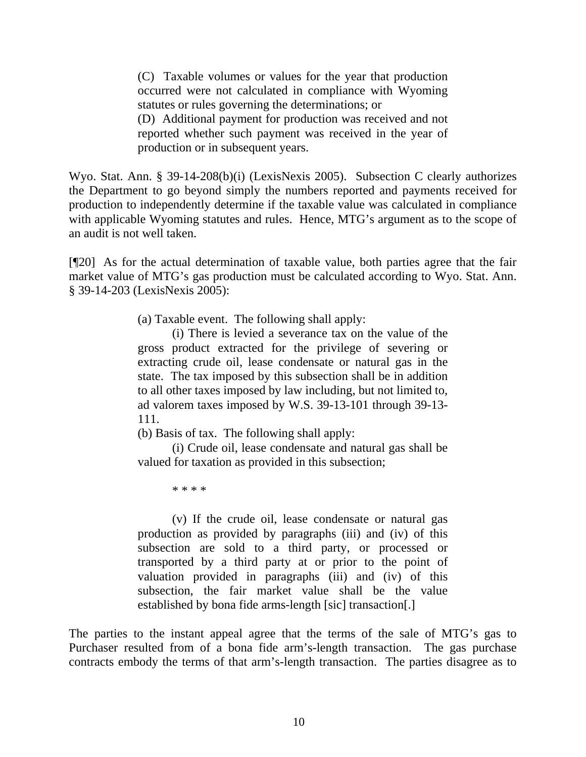(C) Taxable volumes or values for the year that production occurred were not calculated in compliance with Wyoming statutes or rules governing the determinations; or (D) Additional payment for production was received and not reported whether such payment was received in the year of production or in subsequent years.

Wyo. Stat. Ann. § 39-14-208(b)(i) (LexisNexis 2005). Subsection C clearly authorizes the Department to go beyond simply the numbers reported and payments received for production to independently determine if the taxable value was calculated in compliance with applicable Wyoming statutes and rules. Hence, MTG's argument as to the scope of an audit is not well taken.

[¶20] As for the actual determination of taxable value, both parties agree that the fair market value of MTG's gas production must be calculated according to Wyo. Stat. Ann. § 39-14-203 (LexisNexis 2005):

(a) Taxable event. The following shall apply:

(i) There is levied a severance tax on the value of the gross product extracted for the privilege of severing or extracting crude oil, lease condensate or natural gas in the state. The tax imposed by this subsection shall be in addition to all other taxes imposed by law including, but not limited to, ad valorem taxes imposed by W.S. 39-13-101 through 39-13- 111.

(b) Basis of tax. The following shall apply:

(i) Crude oil, lease condensate and natural gas shall be valued for taxation as provided in this subsection;

\* \* \* \*

(v) If the crude oil, lease condensate or natural gas production as provided by paragraphs (iii) and (iv) of this subsection are sold to a third party, or processed or transported by a third party at or prior to the point of valuation provided in paragraphs (iii) and (iv) of this subsection, the fair market value shall be the value established by bona fide arms-length [sic] transaction[.]

The parties to the instant appeal agree that the terms of the sale of MTG's gas to Purchaser resulted from of a bona fide arm's-length transaction. The gas purchase contracts embody the terms of that arm's-length transaction. The parties disagree as to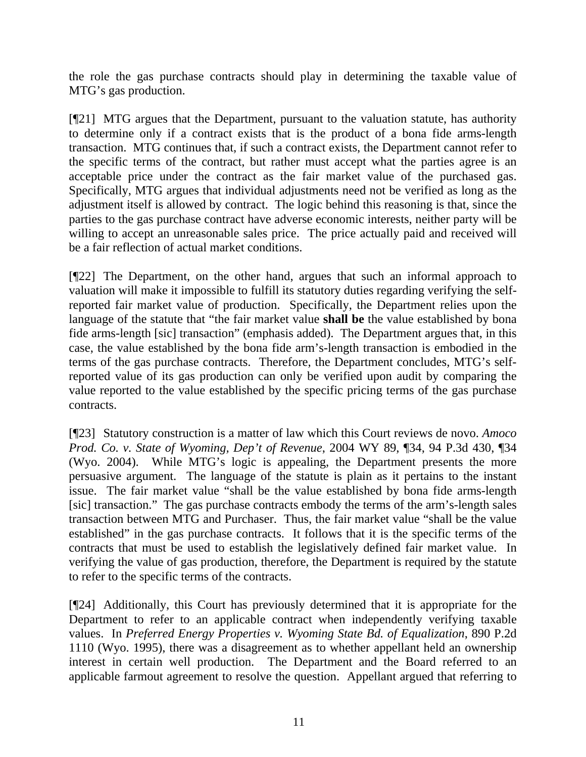the role the gas purchase contracts should play in determining the taxable value of MTG's gas production.

[¶21] MTG argues that the Department, pursuant to the valuation statute, has authority to determine only if a contract exists that is the product of a bona fide arms-length transaction. MTG continues that, if such a contract exists, the Department cannot refer to the specific terms of the contract, but rather must accept what the parties agree is an acceptable price under the contract as the fair market value of the purchased gas. Specifically, MTG argues that individual adjustments need not be verified as long as the adjustment itself is allowed by contract. The logic behind this reasoning is that, since the parties to the gas purchase contract have adverse economic interests, neither party will be willing to accept an unreasonable sales price. The price actually paid and received will be a fair reflection of actual market conditions.

[¶22] The Department, on the other hand, argues that such an informal approach to valuation will make it impossible to fulfill its statutory duties regarding verifying the selfreported fair market value of production. Specifically, the Department relies upon the language of the statute that "the fair market value **shall be** the value established by bona fide arms-length [sic] transaction" (emphasis added). The Department argues that, in this case, the value established by the bona fide arm's-length transaction is embodied in the terms of the gas purchase contracts. Therefore, the Department concludes, MTG's selfreported value of its gas production can only be verified upon audit by comparing the value reported to the value established by the specific pricing terms of the gas purchase contracts.

[¶23] Statutory construction is a matter of law which this Court reviews de novo. *Amoco Prod. Co. v. State of Wyoming, Dep't of Revenue*, 2004 WY 89, ¶34, 94 P.3d 430, ¶34 (Wyo. 2004). While MTG's logic is appealing, the Department presents the more persuasive argument. The language of the statute is plain as it pertains to the instant issue. The fair market value "shall be the value established by bona fide arms-length [sic] transaction." The gas purchase contracts embody the terms of the arm's-length sales transaction between MTG and Purchaser. Thus, the fair market value "shall be the value established" in the gas purchase contracts. It follows that it is the specific terms of the contracts that must be used to establish the legislatively defined fair market value. In verifying the value of gas production, therefore, the Department is required by the statute to refer to the specific terms of the contracts.

[¶24] Additionally, this Court has previously determined that it is appropriate for the Department to refer to an applicable contract when independently verifying taxable values. In *Preferred Energy Properties v. Wyoming State Bd. of Equalization*, 890 P.2d 1110 (Wyo. 1995), there was a disagreement as to whether appellant held an ownership interest in certain well production. The Department and the Board referred to an applicable farmout agreement to resolve the question. Appellant argued that referring to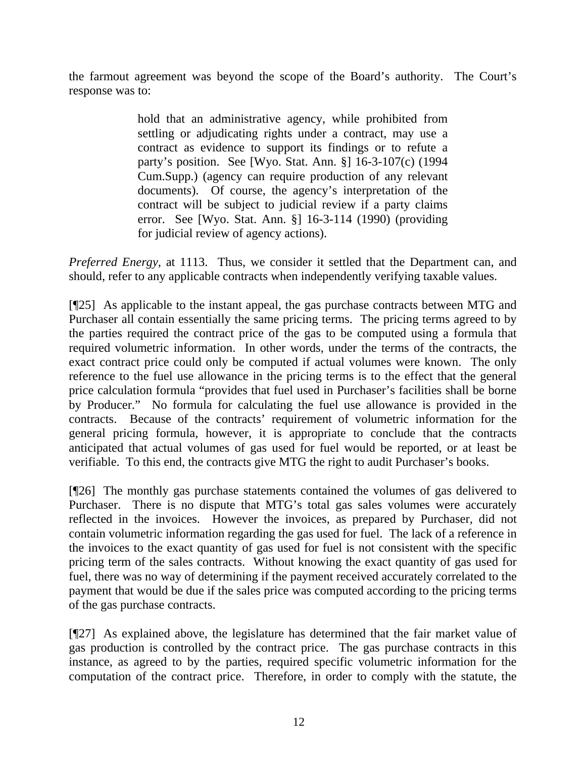the farmout agreement was beyond the scope of the Board's authority. The Court's response was to:

> hold that an administrative agency, while prohibited from settling or adjudicating rights under a contract, may use a contract as evidence to support its findings or to refute a party's position. See [Wyo. Stat. Ann. §] 16-3-107(c) (1994 Cum.Supp.) (agency can require production of any relevant documents). Of course, the agency's interpretation of the contract will be subject to judicial review if a party claims error. See [Wyo. Stat. Ann. §] 16-3-114 (1990) (providing for judicial review of agency actions).

*Preferred Energy,* at 1113. Thus, we consider it settled that the Department can, and should, refer to any applicable contracts when independently verifying taxable values.

[¶25] As applicable to the instant appeal, the gas purchase contracts between MTG and Purchaser all contain essentially the same pricing terms. The pricing terms agreed to by the parties required the contract price of the gas to be computed using a formula that required volumetric information. In other words, under the terms of the contracts, the exact contract price could only be computed if actual volumes were known. The only reference to the fuel use allowance in the pricing terms is to the effect that the general price calculation formula "provides that fuel used in Purchaser's facilities shall be borne by Producer." No formula for calculating the fuel use allowance is provided in the contracts. Because of the contracts' requirement of volumetric information for the general pricing formula, however, it is appropriate to conclude that the contracts anticipated that actual volumes of gas used for fuel would be reported, or at least be verifiable. To this end, the contracts give MTG the right to audit Purchaser's books.

[¶26] The monthly gas purchase statements contained the volumes of gas delivered to Purchaser. There is no dispute that MTG's total gas sales volumes were accurately reflected in the invoices. However the invoices, as prepared by Purchaser, did not contain volumetric information regarding the gas used for fuel. The lack of a reference in the invoices to the exact quantity of gas used for fuel is not consistent with the specific pricing term of the sales contracts. Without knowing the exact quantity of gas used for fuel, there was no way of determining if the payment received accurately correlated to the payment that would be due if the sales price was computed according to the pricing terms of the gas purchase contracts.

[¶27] As explained above, the legislature has determined that the fair market value of gas production is controlled by the contract price. The gas purchase contracts in this instance, as agreed to by the parties, required specific volumetric information for the computation of the contract price. Therefore, in order to comply with the statute, the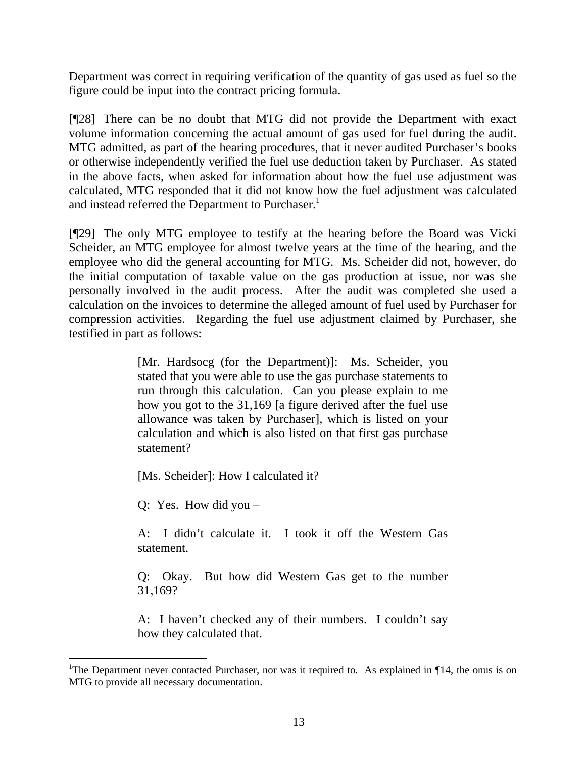Department was correct in requiring verification of the quantity of gas used as fuel so the figure could be input into the contract pricing formula.

[¶28] There can be no doubt that MTG did not provide the Department with exact volume information concerning the actual amount of gas used for fuel during the audit. MTG admitted, as part of the hearing procedures, that it never audited Purchaser's books or otherwise independently verified the fuel use deduction taken by Purchaser. As stated in the above facts, when asked for information about how the fuel use adjustment was calculated, MTG responded that it did not know how the fuel adjustment was calculated and instead referred the Department to Purchaser.<sup>1</sup>

[¶29] The only MTG employee to testify at the hearing before the Board was Vicki Scheider, an MTG employee for almost twelve years at the time of the hearing, and the employee who did the general accounting for MTG. Ms. Scheider did not, however, do the initial computation of taxable value on the gas production at issue, nor was she personally involved in the audit process. After the audit was completed she used a calculation on the invoices to determine the alleged amount of fuel used by Purchaser for compression activities. Regarding the fuel use adjustment claimed by Purchaser, she testified in part as follows:

> [Mr. Hardsocg (for the Department)]: Ms. Scheider, you stated that you were able to use the gas purchase statements to run through this calculation. Can you please explain to me how you got to the 31,169 [a figure derived after the fuel use allowance was taken by Purchaser], which is listed on your calculation and which is also listed on that first gas purchase statement?

[Ms. Scheider]: How I calculated it?

Q: Yes. How did you –

A: I didn't calculate it. I took it off the Western Gas statement.

Q: Okay. But how did Western Gas get to the number 31,169?

A: I haven't checked any of their numbers. I couldn't say how they calculated that.

<sup>&</sup>lt;sup>1</sup>The Department never contacted Purchaser, nor was it required to. As explained in ¶14, the onus is on MTG to provide all necessary documentation.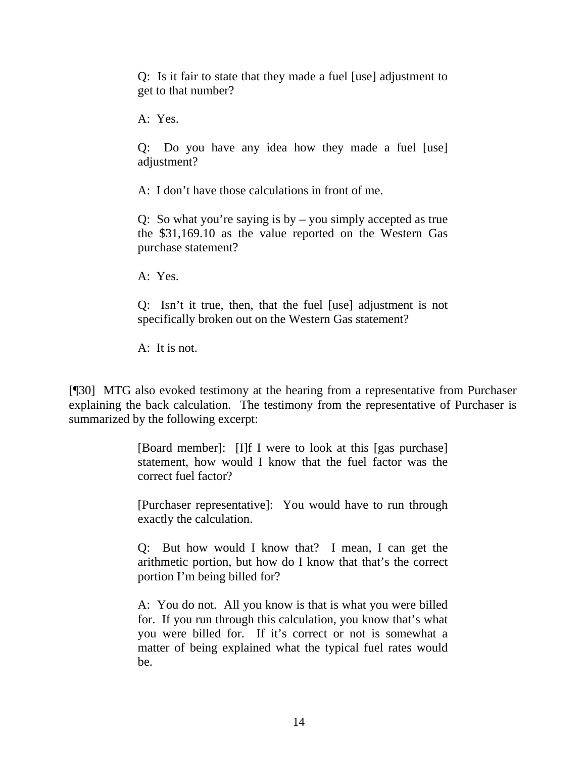Q: Is it fair to state that they made a fuel [use] adjustment to get to that number?

A: Yes.

Q: Do you have any idea how they made a fuel [use] adjustment?

A: I don't have those calculations in front of me.

Q: So what you're saying is by – you simply accepted as true the \$31,169.10 as the value reported on the Western Gas purchase statement?

A: Yes.

Q: Isn't it true, then, that the fuel [use] adjustment is not specifically broken out on the Western Gas statement?

A: It is not.

[¶30] MTG also evoked testimony at the hearing from a representative from Purchaser explaining the back calculation. The testimony from the representative of Purchaser is summarized by the following excerpt:

> [Board member]: [I]f I were to look at this [gas purchase] statement, how would I know that the fuel factor was the correct fuel factor?

> [Purchaser representative]: You would have to run through exactly the calculation.

> Q: But how would I know that? I mean, I can get the arithmetic portion, but how do I know that that's the correct portion I'm being billed for?

> A: You do not. All you know is that is what you were billed for. If you run through this calculation, you know that's what you were billed for. If it's correct or not is somewhat a matter of being explained what the typical fuel rates would be.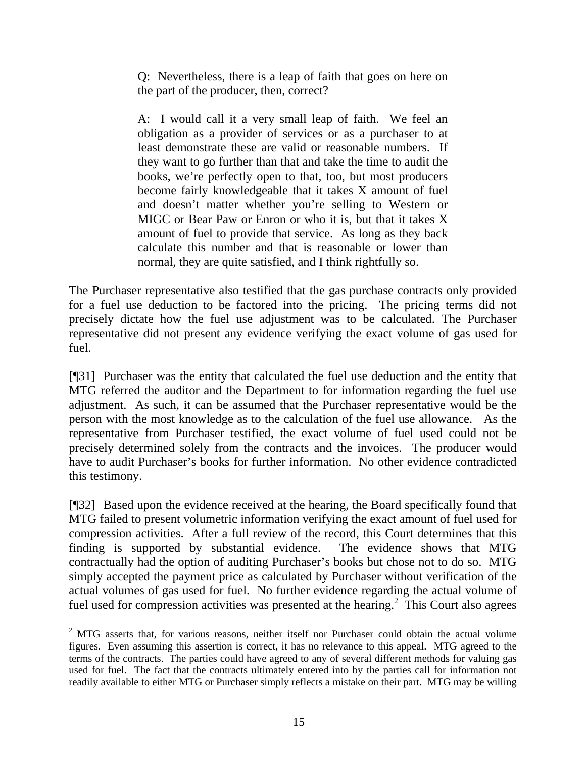Q: Nevertheless, there is a leap of faith that goes on here on the part of the producer, then, correct?

A: I would call it a very small leap of faith. We feel an obligation as a provider of services or as a purchaser to at least demonstrate these are valid or reasonable numbers. If they want to go further than that and take the time to audit the books, we're perfectly open to that, too, but most producers become fairly knowledgeable that it takes X amount of fuel and doesn't matter whether you're selling to Western or MIGC or Bear Paw or Enron or who it is, but that it takes X amount of fuel to provide that service. As long as they back calculate this number and that is reasonable or lower than normal, they are quite satisfied, and I think rightfully so.

The Purchaser representative also testified that the gas purchase contracts only provided for a fuel use deduction to be factored into the pricing. The pricing terms did not precisely dictate how the fuel use adjustment was to be calculated. The Purchaser representative did not present any evidence verifying the exact volume of gas used for fuel.

[¶31] Purchaser was the entity that calculated the fuel use deduction and the entity that MTG referred the auditor and the Department to for information regarding the fuel use adjustment. As such, it can be assumed that the Purchaser representative would be the person with the most knowledge as to the calculation of the fuel use allowance. As the representative from Purchaser testified, the exact volume of fuel used could not be precisely determined solely from the contracts and the invoices. The producer would have to audit Purchaser's books for further information. No other evidence contradicted this testimony.

[¶32] Based upon the evidence received at the hearing, the Board specifically found that MTG failed to present volumetric information verifying the exact amount of fuel used for compression activities. After a full review of the record, this Court determines that this finding is supported by substantial evidence. The evidence shows that MTG contractually had the option of auditing Purchaser's books but chose not to do so. MTG simply accepted the payment price as calculated by Purchaser without verification of the actual volumes of gas used for fuel. No further evidence regarding the actual volume of fuel used for compression activities was presented at the hearing.<sup>2</sup> This Court also agrees

 $\overline{a}$  $2$  MTG asserts that, for various reasons, neither itself nor Purchaser could obtain the actual volume figures. Even assuming this assertion is correct, it has no relevance to this appeal. MTG agreed to the terms of the contracts. The parties could have agreed to any of several different methods for valuing gas used for fuel. The fact that the contracts ultimately entered into by the parties call for information not readily available to either MTG or Purchaser simply reflects a mistake on their part. MTG may be willing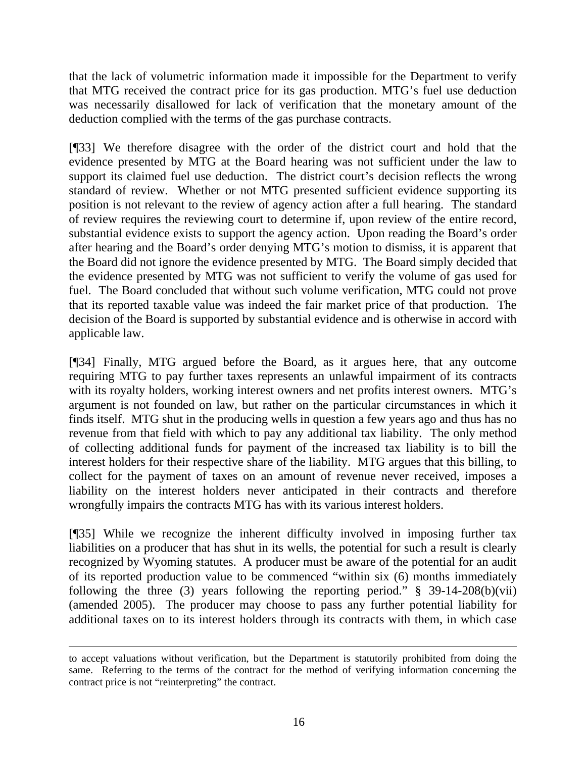that the lack of volumetric information made it impossible for the Department to verify that MTG received the contract price for its gas production. MTG's fuel use deduction was necessarily disallowed for lack of verification that the monetary amount of the deduction complied with the terms of the gas purchase contracts.

[¶33] We therefore disagree with the order of the district court and hold that the evidence presented by MTG at the Board hearing was not sufficient under the law to support its claimed fuel use deduction. The district court's decision reflects the wrong standard of review. Whether or not MTG presented sufficient evidence supporting its position is not relevant to the review of agency action after a full hearing. The standard of review requires the reviewing court to determine if, upon review of the entire record, substantial evidence exists to support the agency action. Upon reading the Board's order after hearing and the Board's order denying MTG's motion to dismiss, it is apparent that the Board did not ignore the evidence presented by MTG. The Board simply decided that the evidence presented by MTG was not sufficient to verify the volume of gas used for fuel. The Board concluded that without such volume verification, MTG could not prove that its reported taxable value was indeed the fair market price of that production. The decision of the Board is supported by substantial evidence and is otherwise in accord with applicable law.

[¶34] Finally, MTG argued before the Board, as it argues here, that any outcome requiring MTG to pay further taxes represents an unlawful impairment of its contracts with its royalty holders, working interest owners and net profits interest owners. MTG's argument is not founded on law, but rather on the particular circumstances in which it finds itself. MTG shut in the producing wells in question a few years ago and thus has no revenue from that field with which to pay any additional tax liability. The only method of collecting additional funds for payment of the increased tax liability is to bill the interest holders for their respective share of the liability. MTG argues that this billing, to collect for the payment of taxes on an amount of revenue never received, imposes a liability on the interest holders never anticipated in their contracts and therefore wrongfully impairs the contracts MTG has with its various interest holders.

[¶35] While we recognize the inherent difficulty involved in imposing further tax liabilities on a producer that has shut in its wells, the potential for such a result is clearly recognized by Wyoming statutes. A producer must be aware of the potential for an audit of its reported production value to be commenced "within six (6) months immediately following the three (3) years following the reporting period."  $\S$  39-14-208(b)(vii) (amended 2005). The producer may choose to pass any further potential liability for additional taxes on to its interest holders through its contracts with them, in which case

to accept valuations without verification, but the Department is statutorily prohibited from doing the same. Referring to the terms of the contract for the method of verifying information concerning the contract price is not "reinterpreting" the contract.